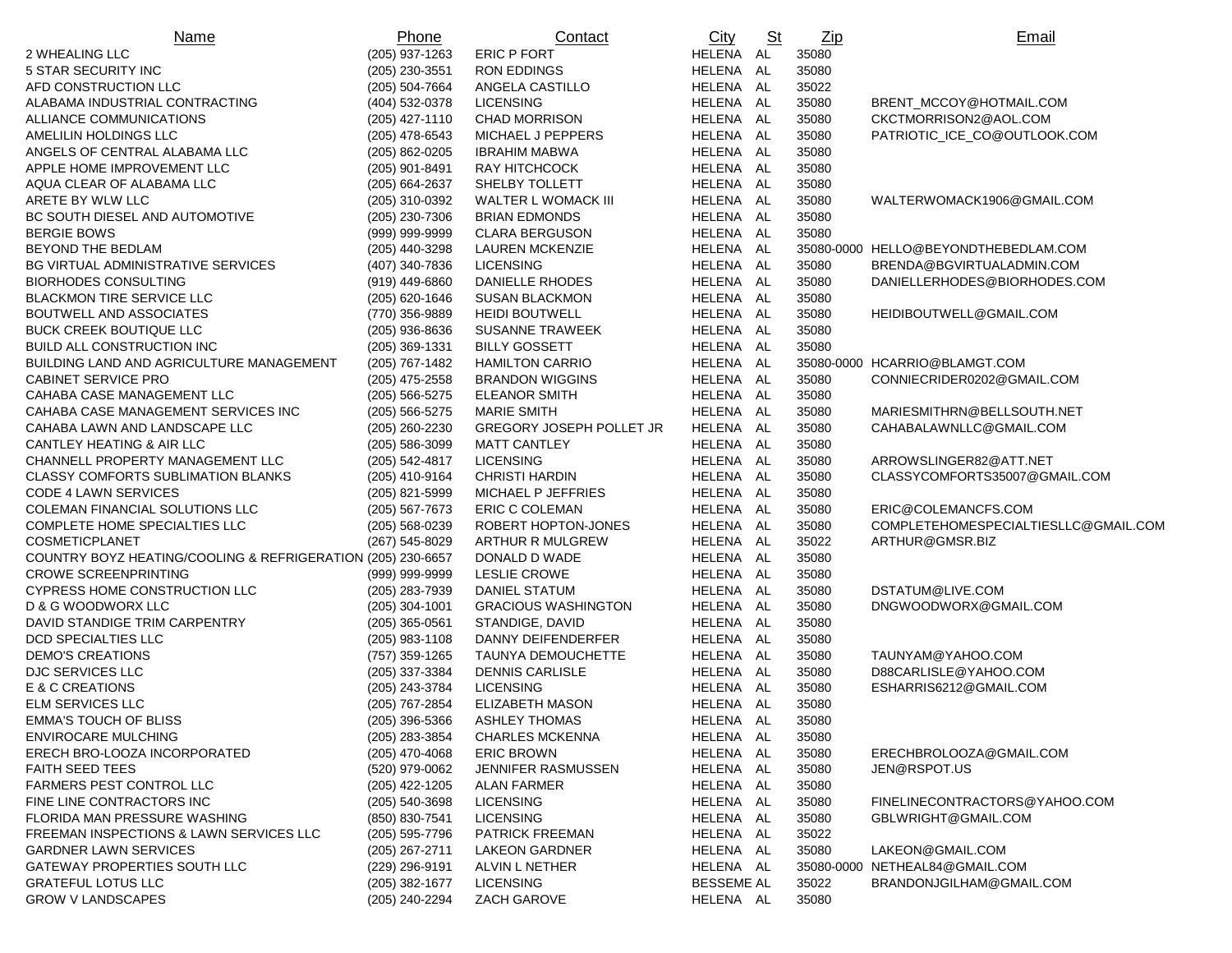| Name                                                        | Phone            | Contact                         | City              | $\underline{\underline{\mathrm{St}}}$ | $_{\underline{Zip}}$ | Email                                |
|-------------------------------------------------------------|------------------|---------------------------------|-------------------|---------------------------------------|----------------------|--------------------------------------|
| 2 WHEALING LLC                                              | (205) 937-1263   | <b>ERIC P FORT</b>              | HELENA AL         |                                       | 35080                |                                      |
| 5 STAR SECURITY INC                                         | (205) 230-3551   | <b>RON EDDINGS</b>              | HELENA AL         |                                       | 35080                |                                      |
| AFD CONSTRUCTION LLC                                        | $(205)$ 504-7664 | ANGELA CASTILLO                 | HELENA AL         |                                       | 35022                |                                      |
| ALABAMA INDUSTRIAL CONTRACTING                              | (404) 532-0378   | <b>LICENSING</b>                | HELENA AL         |                                       | 35080                | BRENT_MCCOY@HOTMAIL.COM              |
| ALLIANCE COMMUNICATIONS                                     | $(205)$ 427-1110 | <b>CHAD MORRISON</b>            | HELENA AL         |                                       | 35080                | CKCTMORRISON2@AOL.COM                |
| AMELILIN HOLDINGS LLC                                       | $(205)$ 478-6543 | MICHAEL J PEPPERS               | HELENA AL         |                                       | 35080                | PATRIOTIC ICE CO@OUTLOOK.COM         |
| ANGELS OF CENTRAL ALABAMA LLC                               | (205) 862-0205   | <b>IBRAHIM MABWA</b>            | HELENA AL         |                                       | 35080                |                                      |
| APPLE HOME IMPROVEMENT LLC                                  | (205) 901-8491   | RAY HITCHCOCK                   | HELENA AL         |                                       | 35080                |                                      |
| AQUA CLEAR OF ALABAMA LLC                                   | (205) 664-2637   | SHELBY TOLLETT                  | HELENA AL         |                                       | 35080                |                                      |
| ARETE BY WLW LLC                                            | (205) 310-0392   | WALTER L WOMACK III             | HELENA AL         |                                       | 35080                | WALTERWOMACK1906@GMAIL.COM           |
| BC SOUTH DIESEL AND AUTOMOTIVE                              | (205) 230-7306   | <b>BRIAN EDMONDS</b>            | HELENA AL         |                                       | 35080                |                                      |
| <b>BERGIE BOWS</b>                                          | (999) 999-9999   | <b>CLARA BERGUSON</b>           | HELENA AL         |                                       | 35080                |                                      |
| BEYOND THE BEDLAM                                           | (205) 440-3298   | <b>LAUREN MCKENZIE</b>          | HELENA AL         |                                       |                      | 35080-0000 HELLO@BEYONDTHEBEDLAM.COM |
| BG VIRTUAL ADMINISTRATIVE SERVICES                          | (407) 340-7836   | <b>LICENSING</b>                | HELENA AL         |                                       | 35080                | BRENDA@BGVIRTUALADMIN.COM            |
| <b>BIORHODES CONSULTING</b>                                 | (919) 449-6860   | <b>DANIELLE RHODES</b>          | HELENA AL         |                                       | 35080                | DANIELLERHODES@BIORHODES.COM         |
| <b>BLACKMON TIRE SERVICE LLC</b>                            | (205) 620-1646   | <b>SUSAN BLACKMON</b>           | HELENA AL         |                                       | 35080                |                                      |
| <b>BOUTWELL AND ASSOCIATES</b>                              | (770) 356-9889   | <b>HEIDI BOUTWELL</b>           | HELENA AL         |                                       | 35080                | HEIDIBOUTWELL@GMAIL.COM              |
| <b>BUCK CREEK BOUTIQUE LLC</b>                              | (205) 936-8636   | <b>SUSANNE TRAWEEK</b>          | HELENA AL         |                                       | 35080                |                                      |
| BUILD ALL CONSTRUCTION INC                                  | (205) 369-1331   | <b>BILLY GOSSETT</b>            | HELENA AL         |                                       | 35080                |                                      |
| BUILDING LAND AND AGRICULTURE MANAGEMENT                    | (205) 767-1482   | <b>HAMILTON CARRIO</b>          | HELENA AL         |                                       |                      | 35080-0000 HCARRIO@BLAMGT.COM        |
| <b>CABINET SERVICE PRO</b>                                  | $(205)$ 475-2558 | <b>BRANDON WIGGINS</b>          | HELENA AL         |                                       | 35080                | CONNIECRIDER0202@GMAIL.COM           |
| CAHABA CASE MANAGEMENT LLC                                  | (205) 566-5275   | <b>ELEANOR SMITH</b>            | HELENA AL         |                                       | 35080                |                                      |
| CAHABA CASE MANAGEMENT SERVICES INC                         | $(205)$ 566-5275 | <b>MARIE SMITH</b>              | HELENA AL         |                                       | 35080                | MARIESMITHRN@BELLSOUTH.NET           |
| CAHABA LAWN AND LANDSCAPE LLC                               | (205) 260-2230   | <b>GREGORY JOSEPH POLLET JR</b> | HELENA AL         |                                       | 35080                | CAHABALAWNLLC@GMAIL.COM              |
| <b>CANTLEY HEATING &amp; AIR LLC</b>                        | $(205)$ 586-3099 | <b>MATT CANTLEY</b>             | HELENA AL         |                                       | 35080                |                                      |
| CHANNELL PROPERTY MANAGEMENT LLC                            | (205) 542-4817   | <b>LICENSING</b>                | HELENA AL         |                                       | 35080                | ARROWSLINGER82@ATT.NET               |
| <b>CLASSY COMFORTS SUBLIMATION BLANKS</b>                   | (205) 410-9164   | <b>CHRISTI HARDIN</b>           | HELENA AL         |                                       | 35080                | CLASSYCOMFORTS35007@GMAIL.COM        |
| <b>CODE 4 LAWN SERVICES</b>                                 | (205) 821-5999   | MICHAEL P JEFFRIES              | HELENA AL         |                                       | 35080                |                                      |
| COLEMAN FINANCIAL SOLUTIONS LLC                             | $(205)$ 567-7673 | <b>ERIC C COLEMAN</b>           | HELENA AL         |                                       | 35080                | ERIC@COLEMANCFS.COM                  |
| COMPLETE HOME SPECIALTIES LLC                               | (205) 568-0239   | ROBERT HOPTON-JONES             | HELENA AL         |                                       | 35080                | COMPLETEHOMESPECIALTIESLLC@GMAIL.COM |
| COSMETICPLANET                                              | (267) 545-8029   | ARTHUR R MULGREW                | HELENA AL         |                                       | 35022                | ARTHUR@GMSR.BIZ                      |
| COUNTRY BOYZ HEATING/COOLING & REFRIGERATION (205) 230-6657 |                  | DONALD D WADE                   | HELENA AL         |                                       | 35080                |                                      |
| <b>CROWE SCREENPRINTING</b>                                 | (999) 999-9999   | LESLIE CROWE                    | HELENA AL         |                                       | 35080                |                                      |
| CYPRESS HOME CONSTRUCTION LLC                               | (205) 283-7939   | DANIEL STATUM                   | HELENA AL         |                                       | 35080                | DSTATUM@LIVE.COM                     |
| D & G WOODWORX LLC                                          | $(205)$ 304-1001 | <b>GRACIOUS WASHINGTON</b>      | HELENA AL         |                                       | 35080                | DNGWOODWORX@GMAIL.COM                |
| DAVID STANDIGE TRIM CARPENTRY                               | $(205)$ 365-0561 | STANDIGE, DAVID                 | HELENA AL         |                                       | 35080                |                                      |
| DCD SPECIALTIES LLC                                         | $(205)$ 983-1108 | DANNY DEIFENDERFER              | HELENA AL         |                                       | 35080                |                                      |
| <b>DEMO'S CREATIONS</b>                                     | (757) 359-1265   | TAUNYA DEMOUCHETTE              | HELENA AL         |                                       | 35080                | TAUNYAM@YAHOO.COM                    |
| DJC SERVICES LLC                                            | (205) 337-3384   | <b>DENNIS CARLISLE</b>          | HELENA AL         |                                       | 35080                | D88CARLISLE@YAHOO.COM                |
| E & C CREATIONS                                             | (205) 243-3784   | <b>LICENSING</b>                | HELENA AL         |                                       | 35080                | ESHARRIS6212@GMAIL.COM               |
| <b>ELM SERVICES LLC</b>                                     | (205) 767-2854   | <b>ELIZABETH MASON</b>          | HELENA AL         |                                       | 35080                |                                      |
| <b>EMMA'S TOUCH OF BLISS</b>                                | $(205)$ 396-5366 | <b>ASHLEY THOMAS</b>            | HELENA AL         |                                       | 35080                |                                      |
| <b>ENVIROCARE MULCHING</b>                                  | (205) 283-3854   | <b>CHARLES MCKENNA</b>          | HELENA AL         |                                       | 35080                |                                      |
| ERECH BRO-LOOZA INCORPORATED                                | $(205)$ 470-4068 | <b>ERIC BROWN</b>               | HELENA AL         |                                       | 35080                | ERECHBROLOOZA@GMAIL.COM              |
| <b>FAITH SEED TEES</b>                                      | (520) 979-0062   | JENNIFER RASMUSSEN              | HELENA AL         |                                       | 35080                | JEN@RSPOT.US                         |
| FARMERS PEST CONTROL LLC                                    | (205) 422-1205   | <b>ALAN FARMER</b>              | HELENA AL         |                                       | 35080                |                                      |
| FINE LINE CONTRACTORS INC                                   | $(205)$ 540-3698 | <b>LICENSING</b>                | HELENA AL         |                                       | 35080                | FINELINECONTRACTORS@YAHOO.COM        |
| FLORIDA MAN PRESSURE WASHING                                | (850) 830-7541   | <b>LICENSING</b>                | HELENA AL         |                                       | 35080                | GBLWRIGHT@GMAIL.COM                  |
| FREEMAN INSPECTIONS & LAWN SERVICES LLC                     | $(205)$ 595-7796 | <b>PATRICK FREEMAN</b>          | HELENA AL         |                                       | 35022                |                                      |
| <b>GARDNER LAWN SERVICES</b>                                | (205) 267-2711   | LAKEON GARDNER                  | HELENA AL         |                                       | 35080                | LAKEON@GMAIL.COM                     |
| GATEWAY PROPERTIES SOUTH LLC                                | (229) 296-9191   | ALVIN L NETHER                  | HELENA AL         |                                       |                      | 35080-0000 NETHEAL84@GMAIL.COM       |
| <b>GRATEFUL LOTUS LLC</b>                                   | $(205)$ 382-1677 | <b>LICENSING</b>                | <b>BESSEME AL</b> |                                       | 35022                | BRANDONJGILHAM@GMAIL.COM             |
| <b>GROW V LANDSCAPES</b>                                    | (205) 240-2294   | ZACH GAROVE                     | HELENA AL         |                                       | 35080                |                                      |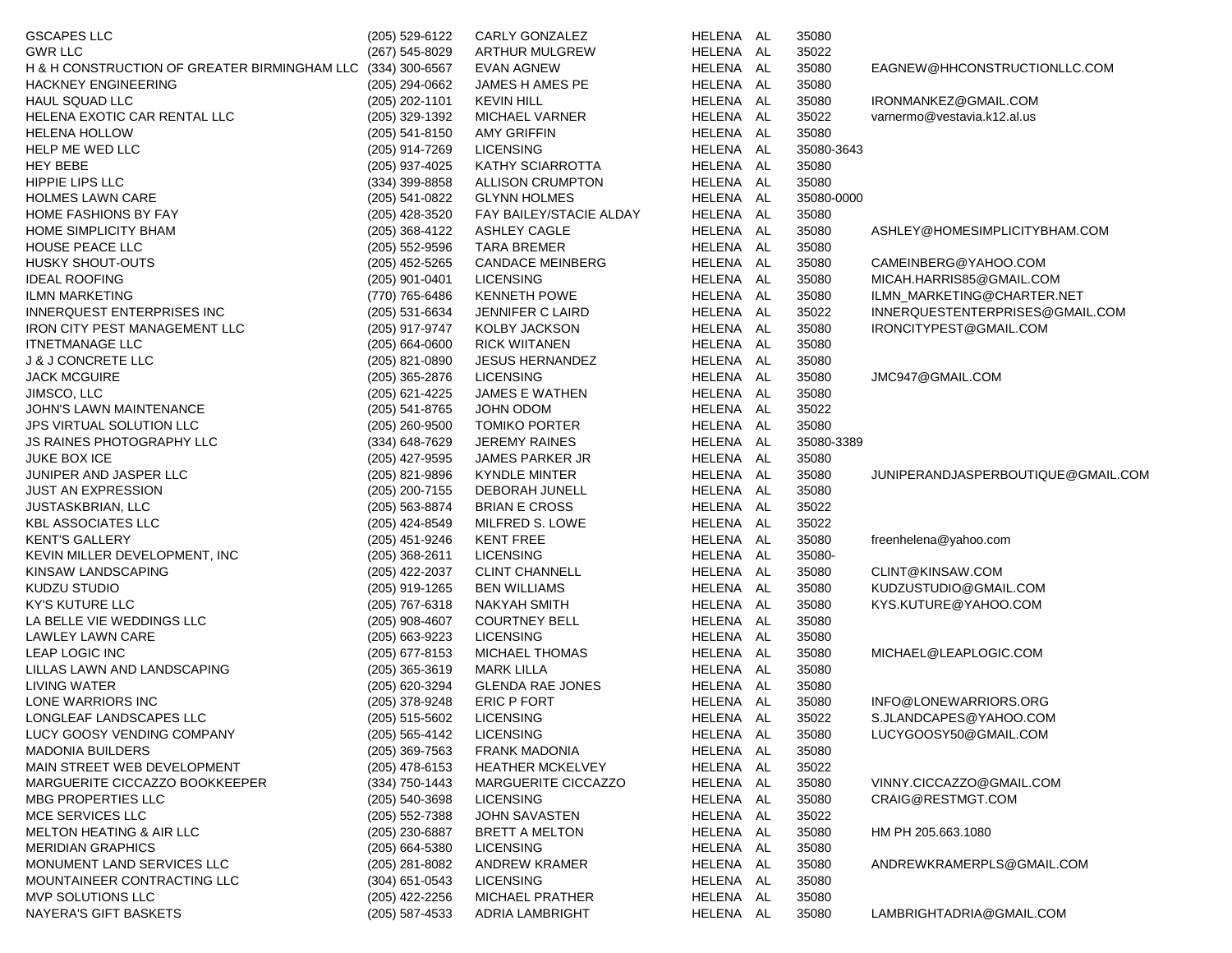| <b>GSCAPES LLC</b>                           | (205) 529-6122   | CARLY GONZALEZ          | HELENA AL | 35080      |                                    |
|----------------------------------------------|------------------|-------------------------|-----------|------------|------------------------------------|
| <b>GWR LLC</b>                               | (267) 545-8029   | <b>ARTHUR MULGREW</b>   | HELENA AL | 35022      |                                    |
| H & H CONSTRUCTION OF GREATER BIRMINGHAM LLC | (334) 300-6567   | <b>EVAN AGNEW</b>       | HELENA AL | 35080      | EAGNEW@HHCONSTRUCTIONLLC.COM       |
| <b>HACKNEY ENGINEERING</b>                   | (205) 294-0662   | JAMES H AMES PE         | HELENA AL | 35080      |                                    |
| HAUL SQUAD LLC                               | (205) 202-1101   | <b>KEVIN HILL</b>       | HELENA AL | 35080      | IRONMANKEZ@GMAIL.COM               |
| HELENA EXOTIC CAR RENTAL LLC                 | (205) 329-1392   | <b>MICHAEL VARNER</b>   | HELENA AL | 35022      | varnermo@vestavia.k12.al.us        |
| <b>HELENA HOLLOW</b>                         | $(205)$ 541-8150 | <b>AMY GRIFFIN</b>      | HELENA AL | 35080      |                                    |
| HELP ME WED LLC                              | (205) 914-7269   | <b>LICENSING</b>        | HELENA AL | 35080-3643 |                                    |
| <b>HEY BEBE</b>                              | (205) 937-4025   | KATHY SCIARROTTA        | HELENA AL | 35080      |                                    |
| HIPPIE LIPS LLC                              | $(334)$ 399-8858 | <b>ALLISON CRUMPTON</b> | HELENA AL | 35080      |                                    |
| <b>HOLMES LAWN CARE</b>                      | (205) 541-0822   | <b>GLYNN HOLMES</b>     | HELENA AL | 35080-0000 |                                    |
| HOME FASHIONS BY FAY                         | (205) 428-3520   | FAY BAILEY/STACIE ALDAY | HELENA AL | 35080      |                                    |
| HOME SIMPLICITY BHAM                         | $(205)$ 368-4122 | ASHLEY CAGLE            | HELENA AL | 35080      | ASHLEY@HOMESIMPLICITYBHAM.COM      |
| HOUSE PEACE LLC                              | $(205)$ 552-9596 | <b>TARA BREMER</b>      | HELENA AL | 35080      |                                    |
| HUSKY SHOUT-OUTS                             | $(205)$ 452-5265 | <b>CANDACE MEINBERG</b> | HELENA AL | 35080      | CAMEINBERG@YAHOO.COM               |
| <b>IDEAL ROOFING</b>                         | (205) 901-0401   | <b>LICENSING</b>        | HELENA AL | 35080      | MICAH.HARRIS85@GMAIL.COM           |
| <b>ILMN MARKETING</b>                        | (770) 765-6486   | <b>KENNETH POWE</b>     | HELENA AL | 35080      | ILMN_MARKETING@CHARTER.NET         |
| INNERQUEST ENTERPRISES INC                   | (205) 531-6634   | JENNIFER C LAIRD        | HELENA AL | 35022      | INNERQUESTENTERPRISES@GMAIL.COM    |
| <b>IRON CITY PEST MANAGEMENT LLC</b>         | (205) 917-9747   | KOLBY JACKSON           | HELENA AL | 35080      | IRONCITYPEST@GMAIL.COM             |
| <b>ITNETMANAGE LLC</b>                       | $(205)$ 664-0600 | <b>RICK WIITANEN</b>    | HELENA AL | 35080      |                                    |
| <b>J &amp; J CONCRETE LLC</b>                | (205) 821-0890   | <b>JESUS HERNANDEZ</b>  | HELENA AL | 35080      |                                    |
| <b>JACK MCGUIRE</b>                          | $(205)$ 365-2876 | <b>LICENSING</b>        | HELENA AL | 35080      | JMC947@GMAIL.COM                   |
| JIMSCO, LLC                                  | (205) 621-4225   | JAMES E WATHEN          | HELENA AL | 35080      |                                    |
| JOHN'S LAWN MAINTENANCE                      | (205) 541-8765   | JOHN ODOM               | HELENA AL | 35022      |                                    |
| <b>JPS VIRTUAL SOLUTION LLC</b>              | $(205)$ 260-9500 | <b>TOMIKO PORTER</b>    | HELENA AL | 35080      |                                    |
| JS RAINES PHOTOGRAPHY LLC                    | (334) 648-7629   | <b>JEREMY RAINES</b>    | HELENA AL | 35080-3389 |                                    |
| <b>JUKE BOX ICE</b>                          | (205) 427-9595   | <b>JAMES PARKER JR</b>  | HELENA AL | 35080      |                                    |
| JUNIPER AND JASPER LLC                       | (205) 821-9896   | <b>KYNDLE MINTER</b>    | HELENA AL | 35080      | JUNIPERANDJASPERBOUTIQUE@GMAIL.COM |
| <b>JUST AN EXPRESSION</b>                    | (205) 200-7155   | DEBORAH JUNELL          | HELENA AL | 35080      |                                    |
| <b>JUSTASKBRIAN, LLC</b>                     | (205) 563-8874   | <b>BRIAN E CROSS</b>    | HELENA AL | 35022      |                                    |
| <b>KBL ASSOCIATES LLC</b>                    | (205) 424-8549   | MILFRED S. LOWE         | HELENA AL | 35022      |                                    |
| <b>KENT'S GALLERY</b>                        | (205) 451-9246   | <b>KENT FREE</b>        | HELENA AL | 35080      | freenhelena@yahoo.com              |
| KEVIN MILLER DEVELOPMENT, INC                | $(205)$ 368-2611 | <b>LICENSING</b>        | HELENA AL | 35080-     |                                    |
| KINSAW LANDSCAPING                           | (205) 422-2037   | <b>CLINT CHANNELL</b>   | HELENA AL | 35080      | CLINT@KINSAW.COM                   |
| <b>KUDZU STUDIO</b>                          | (205) 919-1265   | <b>BEN WILLIAMS</b>     | HELENA AL | 35080      | KUDZUSTUDIO@GMAIL.COM              |
| <b>KY'S KUTURE LLC</b>                       | (205) 767-6318   | <b>NAKYAH SMITH</b>     | HELENA AL | 35080      | KYS.KUTURE@YAHOO.COM               |
| LA BELLE VIE WEDDINGS LLC                    | $(205)$ 908-4607 | <b>COURTNEY BELL</b>    | HELENA AL | 35080      |                                    |
| LAWLEY LAWN CARE                             | (205) 663-9223   | <b>LICENSING</b>        | HELENA AL | 35080      |                                    |
| LEAP LOGIC INC                               | (205) 677-8153   | MICHAEL THOMAS          | HELENA AL | 35080      | MICHAEL@LEAPLOGIC.COM              |
| LILLAS LAWN AND LANDSCAPING                  | $(205)$ 365-3619 | <b>MARK LILLA</b>       | HELENA AL | 35080      |                                    |
| <b>LIVING WATER</b>                          | (205) 620-3294   | <b>GLENDA RAE JONES</b> | HELENA AL | 35080      |                                    |
| LONE WARRIORS INC                            | (205) 378-9248   | ERIC P FORT             | HELENA AL | 35080      | INFO@LONEWARRIORS.ORG              |
| LONGLEAF LANDSCAPES LLC                      | (205) 515-5602   | <b>LICENSING</b>        | HELENA AL | 35022      | S.JLANDCAPES@YAHOO.COM             |
| LUCY GOOSY VENDING COMPANY                   | (205) 565-4142   | <b>LICENSING</b>        | HELENA AL | 35080      | LUCYGOOSY50@GMAIL.COM              |
| <b>MADONIA BUILDERS</b>                      | $(205)$ 369-7563 | <b>FRANK MADONIA</b>    | HELENA AL | 35080      |                                    |
| MAIN STREET WEB DEVELOPMENT                  | (205) 478-6153   | <b>HEATHER MCKELVEY</b> | HELENA AL | 35022      |                                    |
| MARGUERITE CICCAZZO BOOKKEEPER               | $(334)$ 750-1443 | MARGUERITE CICCAZZO     | HELENA AL | 35080      | VINNY.CICCAZZO@GMAIL.COM           |
| MBG PROPERTIES LLC                           | (205) 540-3698   | <b>LICENSING</b>        | HELENA AL | 35080      | CRAIG@RESTMGT.COM                  |
| MCE SERVICES LLC                             | (205) 552-7388   | <b>JOHN SAVASTEN</b>    | HELENA AL | 35022      |                                    |
| <b>MELTON HEATING &amp; AIR LLC</b>          | (205) 230-6887   | <b>BRETT A MELTON</b>   | HELENA AL | 35080      | HM PH 205.663.1080                 |
| <b>MERIDIAN GRAPHICS</b>                     | $(205)$ 664-5380 | <b>LICENSING</b>        | HELENA AL | 35080      |                                    |
| MONUMENT LAND SERVICES LLC                   | $(205)$ 281-8082 | <b>ANDREW KRAMER</b>    | HELENA AL | 35080      | ANDREWKRAMERPLS@GMAIL.COM          |
| MOUNTAINEER CONTRACTING LLC                  | (304) 651-0543   | <b>LICENSING</b>        | HELENA AL | 35080      |                                    |
| MVP SOLUTIONS LLC                            | (205) 422-2256   | <b>MICHAEL PRATHER</b>  | HELENA AL | 35080      |                                    |
| NAYERA'S GIFT BASKETS                        | $(205)$ 587-4533 | ADRIA LAMBRIGHT         | HELENA AL | 35080      | LAMBRIGHTADRIA@GMAIL.COM           |
|                                              |                  |                         |           |            |                                    |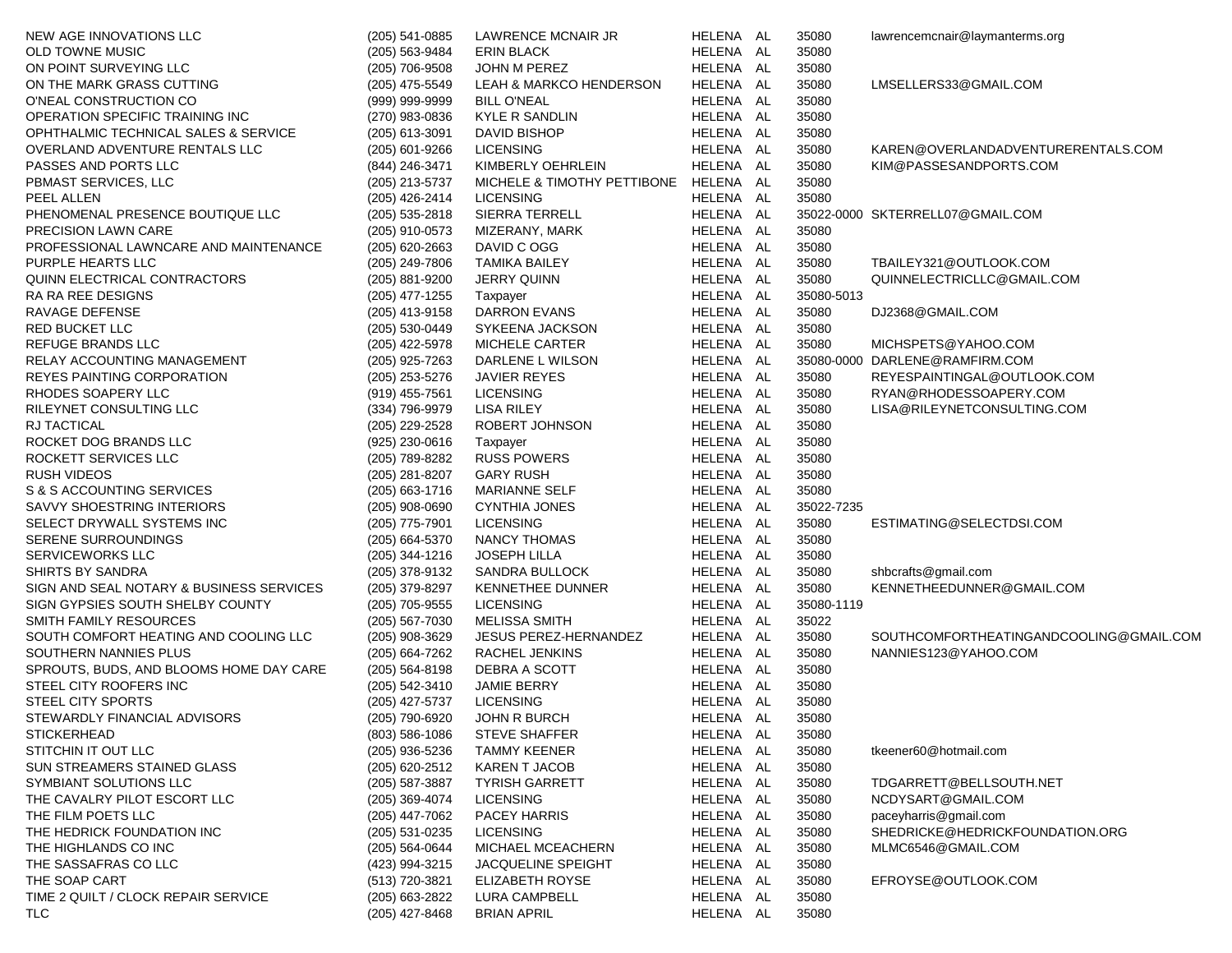| NEW AGE INNOVATIONS LLC                  | (205) 541-0885     | LAWRENCE MCNAIR JR                    | HELENA AL | 35080      | lawrencemcnair@laymanterms.org          |
|------------------------------------------|--------------------|---------------------------------------|-----------|------------|-----------------------------------------|
| <b>OLD TOWNE MUSIC</b>                   | (205) 563-9484     | <b>ERIN BLACK</b>                     | HELENA AL | 35080      |                                         |
| ON POINT SURVEYING LLC                   | (205) 706-9508     | JOHN M PEREZ                          | HELENA AL | 35080      |                                         |
| ON THE MARK GRASS CUTTING                | (205) 475-5549     | LEAH & MARKCO HENDERSON               | HELENA AL | 35080      | LMSELLERS33@GMAIL.COM                   |
| O'NEAL CONSTRUCTION CO                   | (999) 999-9999     | <b>BILL O'NEAL</b>                    | HELENA AL | 35080      |                                         |
| OPERATION SPECIFIC TRAINING INC          | (270) 983-0836     | KYLE R SANDLIN                        | HELENA AL | 35080      |                                         |
| OPHTHALMIC TECHNICAL SALES & SERVICE     | (205) 613-3091     | DAVID BISHOP                          | HELENA AL | 35080      |                                         |
| OVERLAND ADVENTURE RENTALS LLC           | (205) 601-9266     | <b>LICENSING</b>                      | HELENA AL | 35080      | KAREN@OVERLANDADVENTURERENTALS.COM      |
| PASSES AND PORTS LLC                     | (844) 246-3471     | KIMBERLY OEHRLEIN                     | HELENA AL | 35080      | KIM@PASSESANDPORTS.COM                  |
| PBMAST SERVICES, LLC                     | (205) 213-5737     | MICHELE & TIMOTHY PETTIBONE HELENA AL |           | 35080      |                                         |
| PEEL ALLEN                               | (205) 426-2414     | <b>LICENSING</b>                      | HELENA AL | 35080      |                                         |
| PHENOMENAL PRESENCE BOUTIQUE LLC         | $(205)$ 535-2818   | SIERRA TERRELL                        | HELENA AL |            | 35022-0000 SKTERRELL07@GMAIL.COM        |
| <b>PRECISION LAWN CARE</b>               | (205) 910-0573     | MIZERANY, MARK                        | HELENA AL | 35080      |                                         |
| PROFESSIONAL LAWNCARE AND MAINTENANCE    | $(205)$ 620-2663   | DAVID C OGG                           | HELENA AL | 35080      |                                         |
| PURPLE HEARTS LLC                        | (205) 249-7806     | <b>TAMIKA BAILEY</b>                  | HELENA AL | 35080      | TBAILEY321@OUTLOOK.COM                  |
| QUINN ELECTRICAL CONTRACTORS             | (205) 881-9200     | <b>JERRY QUINN</b>                    | HELENA AL | 35080      | QUINNELECTRICLLC@GMAIL.COM              |
| RA RA REE DESIGNS                        | $(205)$ 477-1255   | Taxpayer                              | HELENA AL | 35080-5013 |                                         |
| RAVAGE DEFENSE                           | (205) 413-9158     | DARRON EVANS                          | HELENA AL | 35080      | DJ2368@GMAIL.COM                        |
| RED BUCKET LLC                           | (205) 530-0449     | SYKEENA JACKSON                       | HELENA AL | 35080      |                                         |
| REFUGE BRANDS LLC                        | (205) 422-5978     | MICHELE CARTER                        | HELENA AL | 35080      | MICHSPETS@YAHOO.COM                     |
| RELAY ACCOUNTING MANAGEMENT              | (205) 925-7263     | DARLENE L WILSON                      | HELENA AL |            | 35080-0000 DARLENE@RAMFIRM.COM          |
| REYES PAINTING CORPORATION               | (205) 253-5276     | <b>JAVIER REYES</b>                   | HELENA AL | 35080      | REYESPAINTINGAL@OUTLOOK.COM             |
| RHODES SOAPERY LLC                       | (919) 455-7561     | <b>LICENSING</b>                      | HELENA AL | 35080      | RYAN@RHODESSOAPERY.COM                  |
| RILEYNET CONSULTING LLC                  | (334) 796-9979     | <b>LISA RILEY</b>                     | HELENA AL | 35080      | LISA@RILEYNETCONSULTING.COM             |
| RJ TACTICAL                              | (205) 229-2528     | ROBERT JOHNSON                        | HELENA AL | 35080      |                                         |
| ROCKET DOG BRANDS LLC                    | (925) 230-0616     |                                       | HELENA AL | 35080      |                                         |
| ROCKETT SERVICES LLC                     | (205) 789-8282     | Taxpayer<br><b>RUSS POWERS</b>        | HELENA AL | 35080      |                                         |
|                                          |                    |                                       |           |            |                                         |
| <b>RUSH VIDEOS</b>                       | (205) 281-8207     | <b>GARY RUSH</b>                      | HELENA AL | 35080      |                                         |
| S & S ACCOUNTING SERVICES                | $(205)$ 663-1716   | <b>MARIANNE SELF</b>                  | HELENA AL | 35080      |                                         |
| SAVVY SHOESTRING INTERIORS               | (205) 908-0690     | <b>CYNTHIA JONES</b>                  | HELENA AL | 35022-7235 |                                         |
| SELECT DRYWALL SYSTEMS INC               | (205) 775-7901     | <b>LICENSING</b>                      | HELENA AL | 35080      | ESTIMATING@SELECTDSI.COM                |
| SERENE SURROUNDINGS                      | (205) 664-5370     | NANCY THOMAS                          | HELENA AL | 35080      |                                         |
| SERVICEWORKS LLC                         | (205) 344-1216     | <b>JOSEPH LILLA</b>                   | HELENA AL | 35080      |                                         |
| SHIRTS BY SANDRA                         | (205) 378-9132     | SANDRA BULLOCK                        | HELENA AL | 35080      | shbcrafts@gmail.com                     |
| SIGN AND SEAL NOTARY & BUSINESS SERVICES | (205) 379-8297     | KENNETHEE DUNNER                      | HELENA AL | 35080      | KENNETHEEDUNNER@GMAIL.COM               |
| SIGN GYPSIES SOUTH SHELBY COUNTY         | (205) 705-9555     | <b>LICENSING</b>                      | HELENA AL | 35080-1119 |                                         |
| SMITH FAMILY RESOURCES                   | (205) 567-7030     | <b>MELISSA SMITH</b>                  | HELENA AL | 35022      |                                         |
| SOUTH COMFORT HEATING AND COOLING LLC    | (205) 908-3629     | JESUS PEREZ-HERNANDEZ                 | HELENA AL | 35080      | SOUTHCOMFORTHEATINGANDCOOLING@GMAIL.COM |
| SOUTHERN NANNIES PLUS                    | $(205)$ 664-7262   | RACHEL JENKINS                        | HELENA AL | 35080      | NANNIES123@YAHOO.COM                    |
| SPROUTS, BUDS, AND BLOOMS HOME DAY CARE  | $(205) 564 - 8198$ | DEBRA A SCOTT                         | HELENA AL | 35080      |                                         |
| STEEL CITY ROOFERS INC                   | (205) 542-3410     | JAMIE BERRY                           | HELENA AL | 35080      |                                         |
| STEEL CITY SPORTS                        | (205) 427-5737     | <b>LICENSING</b>                      | HELENA AL | 35080      |                                         |
| STEWARDLY FINANCIAL ADVISORS             | (205) 790-6920     | <b>JOHN R BURCH</b>                   | HELENA AL | 35080      |                                         |
| <b>STICKERHEAD</b>                       | $(803)$ 586-1086   | <b>STEVE SHAFFER</b>                  | HELENA AL | 35080      |                                         |
| STITCHIN IT OUT LLC                      | (205) 936-5236     | <b>TAMMY KEENER</b>                   | HELENA AL | 35080      | tkeener60@hotmail.com                   |
| SUN STREAMERS STAINED GLASS              | (205) 620-2512     | KAREN T JACOB                         | HELENA AL | 35080      |                                         |
| SYMBIANT SOLUTIONS LLC                   | (205) 587-3887     | <b>TYRISH GARRETT</b>                 | HELENA AL | 35080      | TDGARRETT@BELLSOUTH.NET                 |
| THE CAVALRY PILOT ESCORT LLC             | (205) 369-4074     | <b>LICENSING</b>                      | HELENA AL | 35080      | NCDYSART@GMAIL.COM                      |
| THE FILM POETS LLC                       | (205) 447-7062     | PACEY HARRIS                          | HELENA AL | 35080      | paceyharris@gmail.com                   |
| THE HEDRICK FOUNDATION INC               | (205) 531-0235     | <b>LICENSING</b>                      | HELENA AL | 35080      | SHEDRICKE@HEDRICKFOUNDATION.ORG         |
| THE HIGHLANDS CO INC                     | (205) 564-0644     | MICHAEL MCEACHERN                     | HELENA AL | 35080      | MLMC6546@GMAIL.COM                      |
| THE SASSAFRAS CO LLC                     | (423) 994-3215     | JACQUELINE SPEIGHT                    | HELENA AL | 35080      |                                         |
| THE SOAP CART                            | (513) 720-3821     | ELIZABETH ROYSE                       | HELENA AL | 35080      | EFROYSE@OUTLOOK.COM                     |
| TIME 2 QUILT / CLOCK REPAIR SERVICE      | (205) 663-2822     | LURA CAMPBELL                         | HELENA AL | 35080      |                                         |
| <b>TLC</b>                               | (205) 427-8468     | <b>BRIAN APRIL</b>                    | HELENA AL | 35080      |                                         |